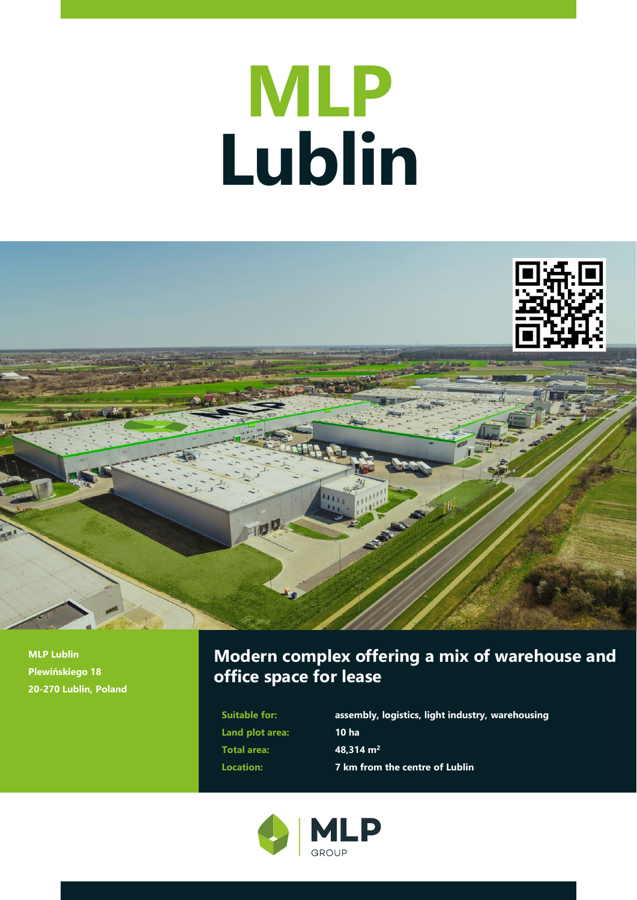# **MLP Lublin**



**MLP Lublin Plewińskiego 18 20-270 Lublin, Poland**

# **Modern complex offering a mix of warehouse and office space for lease**

**Land plot area: 10 ha Total area: 48,314 m<sup>2</sup>**

**Suitable for: assembly, logistics, light industry, warehousing Location: 7 km from the centre of Lublin**